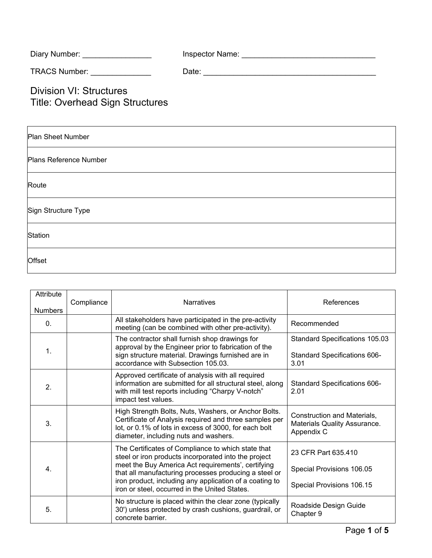| Diary Number: <b>Example 20</b>                                          |  |
|--------------------------------------------------------------------------|--|
| TRACS Number: TRACS Number:                                              |  |
| <b>Division VI: Structures</b><br><b>Title: Overhead Sign Structures</b> |  |
| <b>Plan Sheet Number</b>                                                 |  |

| Plans Reference Number |  |
|------------------------|--|
|                        |  |

Route

Sign Structure Type

**Station** 

**Offset** 

| Attribute<br><b>Numbers</b> | Compliance | <b>Narratives</b>                                                                                                                                                                                                                                                                                                                     | References                                                                    |
|-----------------------------|------------|---------------------------------------------------------------------------------------------------------------------------------------------------------------------------------------------------------------------------------------------------------------------------------------------------------------------------------------|-------------------------------------------------------------------------------|
| $\mathbf{0}$ .              |            | All stakeholders have participated in the pre-activity<br>meeting (can be combined with other pre-activity).                                                                                                                                                                                                                          | Recommended                                                                   |
| $\mathbf{1}$ .              |            | The contractor shall furnish shop drawings for<br>approval by the Engineer prior to fabrication of the<br>sign structure material. Drawings furnished are in<br>accordance with Subsection 105.03.                                                                                                                                    | Standard Specifications 105.03<br>Standard Specifications 606-<br>3.01        |
| 2.                          |            | Approved certificate of analysis with all required<br>information are submitted for all structural steel, along<br>with mill test reports including "Charpy V-notch"<br>impact test values.                                                                                                                                           | Standard Specifications 606-<br>2.01                                          |
| 3.                          |            | High Strength Bolts, Nuts, Washers, or Anchor Bolts.<br>Certificate of Analysis required and three samples per<br>lot, or 0.1% of lots in excess of 3000, for each bolt<br>diameter, including nuts and washers.                                                                                                                      | Construction and Materials,<br>Materials Quality Assurance.<br>Appendix C     |
| 4.                          |            | The Certificates of Compliance to which state that<br>steel or iron products incorporated into the project<br>meet the Buy America Act requirements', certifying<br>that all manufacturing processes producing a steel or<br>iron product, including any application of a coating to<br>iron or steel, occurred in the United States. | 23 CFR Part 635.410<br>Special Provisions 106.05<br>Special Provisions 106.15 |
| 5.                          |            | No structure is placed within the clear zone (typically<br>30') unless protected by crash cushions, guardrail, or<br>concrete barrier.                                                                                                                                                                                                | Roadside Design Guide<br>Chapter 9                                            |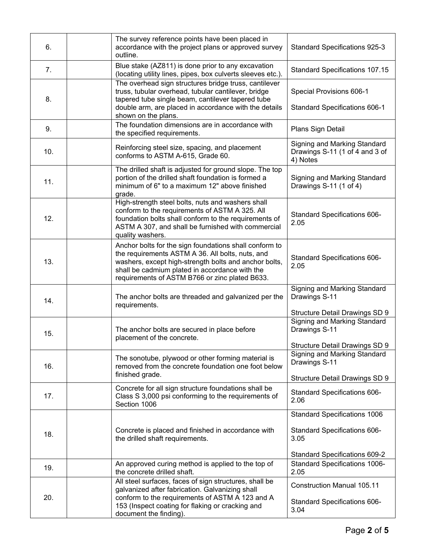| 6.  | The survey reference points have been placed in<br>accordance with the project plans or approved survey<br>outline.                                                                                                                                                     | <b>Standard Specifications 925-3</b>                                                                                            |
|-----|-------------------------------------------------------------------------------------------------------------------------------------------------------------------------------------------------------------------------------------------------------------------------|---------------------------------------------------------------------------------------------------------------------------------|
| 7.  | Blue stake (AZ811) is done prior to any excavation<br>(locating utility lines, pipes, box culverts sleeves etc.).                                                                                                                                                       | <b>Standard Specifications 107.15</b>                                                                                           |
| 8.  | The overhead sign structures bridge truss, cantilever<br>truss, tubular overhead, tubular cantilever, bridge<br>tapered tube single beam, cantilever tapered tube<br>double arm, are placed in accordance with the details<br>shown on the plans.                       | Special Provisions 606-1<br>Standard Specifications 606-1                                                                       |
| 9.  | The foundation dimensions are in accordance with<br>the specified requirements.                                                                                                                                                                                         | Plans Sign Detail                                                                                                               |
| 10. | Reinforcing steel size, spacing, and placement<br>conforms to ASTM A-615, Grade 60.                                                                                                                                                                                     | Signing and Marking Standard<br>Drawings S-11 (1 of 4 and 3 of<br>4) Notes                                                      |
| 11. | The drilled shaft is adjusted for ground slope. The top<br>portion of the drilled shaft foundation is formed a<br>minimum of 6" to a maximum 12" above finished<br>grade.                                                                                               | Signing and Marking Standard<br>Drawings S-11 (1 of 4)                                                                          |
| 12. | High-strength steel bolts, nuts and washers shall<br>conform to the requirements of ASTM A 325. All<br>foundation bolts shall conform to the requirements of<br>ASTM A 307, and shall be furnished with commercial<br>quality washers.                                  | Standard Specifications 606-<br>2.05                                                                                            |
| 13. | Anchor bolts for the sign foundations shall conform to<br>the requirements ASTM A 36. All bolts, nuts, and<br>washers, except high-strength bolts and anchor bolts,<br>shall be cadmium plated in accordance with the<br>requirements of ASTM B766 or zinc plated B633. | Standard Specifications 606-<br>2.05                                                                                            |
| 14. | The anchor bolts are threaded and galvanized per the<br>requirements.                                                                                                                                                                                                   | Signing and Marking Standard<br>Drawings S-11                                                                                   |
| 15. | The anchor bolts are secured in place before<br>placement of the concrete.                                                                                                                                                                                              | <b>Structure Detail Drawings SD 9</b><br>Signing and Marking Standard<br>Drawings S-11                                          |
| 16. | The sonotube, plywood or other forming material is<br>removed from the concrete foundation one foot below<br>finished grade.                                                                                                                                            | <b>Structure Detail Drawings SD 9</b><br>Signing and Marking Standard<br>Drawings S-11<br><b>Structure Detail Drawings SD 9</b> |
| 17. | Concrete for all sign structure foundations shall be<br>Class S 3,000 psi conforming to the requirements of<br>Section 1006                                                                                                                                             | Standard Specifications 606-<br>2.06                                                                                            |
| 18. | Concrete is placed and finished in accordance with<br>the drilled shaft requirements.                                                                                                                                                                                   | <b>Standard Specifications 1006</b><br>Standard Specifications 606-<br>3.05                                                     |
|     |                                                                                                                                                                                                                                                                         | Standard Specifications 609-2                                                                                                   |
| 19. | An approved curing method is applied to the top of<br>the concrete drilled shaft.                                                                                                                                                                                       | Standard Specifications 1006-<br>2.05                                                                                           |
| 20. | All steel surfaces, faces of sign structures, shall be<br>galvanized after fabrication. Galvanizing shall<br>conform to the requirements of ASTM A 123 and A<br>153 (Inspect coating for flaking or cracking and<br>document the finding).                              | <b>Construction Manual 105.11</b><br>Standard Specifications 606-<br>3.04                                                       |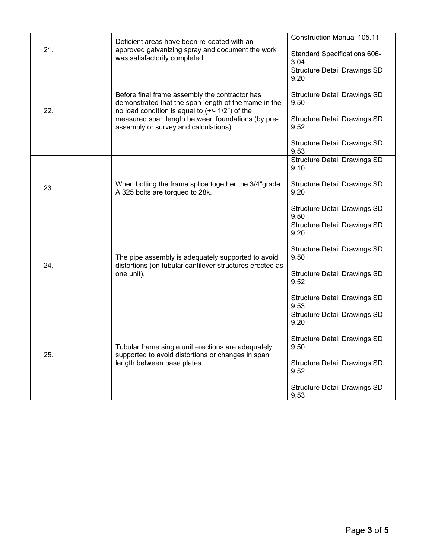| 21. |  | Deficient areas have been re-coated with an<br>approved galvanizing spray and document the work<br>was satisfactorily completed.                                                                                  | <b>Construction Manual 105.11</b>           |
|-----|--|-------------------------------------------------------------------------------------------------------------------------------------------------------------------------------------------------------------------|---------------------------------------------|
|     |  |                                                                                                                                                                                                                   | Standard Specifications 606-<br>3.04        |
|     |  |                                                                                                                                                                                                                   | <b>Structure Detail Drawings SD</b><br>9.20 |
| 22. |  | Before final frame assembly the contractor has<br>demonstrated that the span length of the frame in the<br>no load condition is equal to $(+/- 1/2")$ of the<br>measured span length between foundations (by pre- |                                             |
|     |  |                                                                                                                                                                                                                   | <b>Structure Detail Drawings SD</b><br>9.50 |
|     |  |                                                                                                                                                                                                                   | <b>Structure Detail Drawings SD</b><br>9.52 |
|     |  | assembly or survey and calculations).                                                                                                                                                                             |                                             |
|     |  |                                                                                                                                                                                                                   | <b>Structure Detail Drawings SD</b><br>9.53 |
|     |  | When bolting the frame splice together the 3/4"grade<br>A 325 bolts are torqued to 28k.                                                                                                                           | <b>Structure Detail Drawings SD</b><br>9.10 |
| 23. |  |                                                                                                                                                                                                                   | <b>Structure Detail Drawings SD</b><br>9.20 |
|     |  |                                                                                                                                                                                                                   |                                             |
|     |  |                                                                                                                                                                                                                   | <b>Structure Detail Drawings SD</b><br>9.50 |
|     |  | The pipe assembly is adequately supported to avoid<br>distortions (on tubular cantilever structures erected as<br>one unit).                                                                                      | <b>Structure Detail Drawings SD</b><br>9.20 |
|     |  |                                                                                                                                                                                                                   | <b>Structure Detail Drawings SD</b>         |
| 24. |  |                                                                                                                                                                                                                   | 9.50                                        |
|     |  |                                                                                                                                                                                                                   | <b>Structure Detail Drawings SD</b><br>9.52 |
|     |  |                                                                                                                                                                                                                   | <b>Structure Detail Drawings SD</b>         |
|     |  |                                                                                                                                                                                                                   | 9.53                                        |
| 25. |  | Tubular frame single unit erections are adequately<br>supported to avoid distortions or changes in span<br>length between base plates.                                                                            | <b>Structure Detail Drawings SD</b><br>9.20 |
|     |  |                                                                                                                                                                                                                   | <b>Structure Detail Drawings SD</b><br>9.50 |
|     |  |                                                                                                                                                                                                                   | <b>Structure Detail Drawings SD</b><br>9.52 |
|     |  |                                                                                                                                                                                                                   | <b>Structure Detail Drawings SD</b><br>9.53 |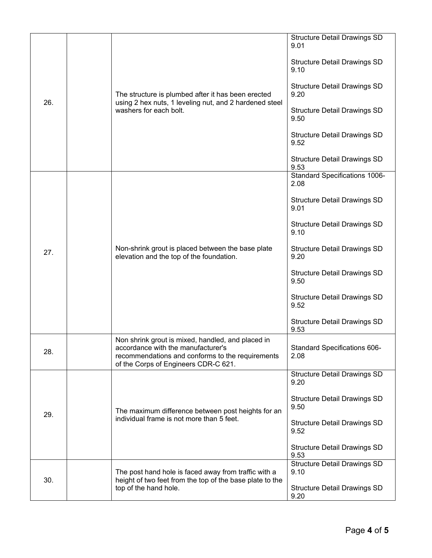| 26. |  | The structure is plumbed after it has been erected<br>using 2 hex nuts, 1 leveling nut, and 2 hardened steel<br>washers for each bolt.                                              | <b>Structure Detail Drawings SD</b><br>9.01  |
|-----|--|-------------------------------------------------------------------------------------------------------------------------------------------------------------------------------------|----------------------------------------------|
|     |  |                                                                                                                                                                                     | <b>Structure Detail Drawings SD</b><br>9.10  |
|     |  |                                                                                                                                                                                     | <b>Structure Detail Drawings SD</b><br>9.20  |
|     |  |                                                                                                                                                                                     | <b>Structure Detail Drawings SD</b><br>9.50  |
|     |  |                                                                                                                                                                                     | <b>Structure Detail Drawings SD</b><br>9.52  |
|     |  |                                                                                                                                                                                     | <b>Structure Detail Drawings SD</b><br>9.53  |
|     |  |                                                                                                                                                                                     | <b>Standard Specifications 1006-</b><br>2.08 |
|     |  |                                                                                                                                                                                     | <b>Structure Detail Drawings SD</b><br>9.01  |
| 27. |  |                                                                                                                                                                                     | <b>Structure Detail Drawings SD</b><br>9.10  |
|     |  | Non-shrink grout is placed between the base plate<br>elevation and the top of the foundation.                                                                                       | <b>Structure Detail Drawings SD</b><br>9.20  |
|     |  |                                                                                                                                                                                     | <b>Structure Detail Drawings SD</b><br>9.50  |
|     |  |                                                                                                                                                                                     | <b>Structure Detail Drawings SD</b><br>9.52  |
|     |  |                                                                                                                                                                                     | <b>Structure Detail Drawings SD</b><br>9.53  |
| 28. |  | Non shrink grout is mixed, handled, and placed in<br>accordance with the manufacturer's<br>recommendations and conforms to the requirements<br>of the Corps of Engineers CDR-C 621. | <b>Standard Specifications 606-</b><br>2.08  |
| 29. |  | The maximum difference between post heights for an<br>individual frame is not more than 5 feet.                                                                                     | <b>Structure Detail Drawings SD</b><br>9.20  |
|     |  |                                                                                                                                                                                     | <b>Structure Detail Drawings SD</b><br>9.50  |
|     |  |                                                                                                                                                                                     | <b>Structure Detail Drawings SD</b><br>9.52  |
|     |  |                                                                                                                                                                                     | <b>Structure Detail Drawings SD</b><br>9.53  |
| 30. |  | The post hand hole is faced away from traffic with a<br>height of two feet from the top of the base plate to the<br>top of the hand hole.                                           | <b>Structure Detail Drawings SD</b><br>9.10  |
|     |  |                                                                                                                                                                                     | <b>Structure Detail Drawings SD</b><br>9.20  |